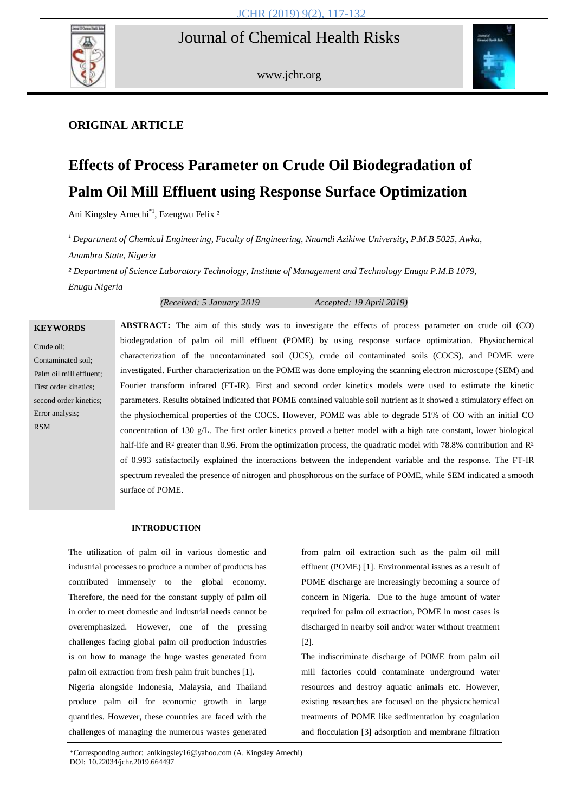

www.jchr.org



# **ORIGINAL ARTICLE**

# **Effects of Process Parameter on Crude Oil Biodegradation of Palm Oil Mill Effluent using Response Surface Optimization**

Ani Kingsley Amechi<sup>\*1</sup>, Ezeugwu Felix<sup>2</sup>

*<sup>1</sup> Department of Chemical Engineering, Faculty of Engineering, Nnamdi Azikiwe University, P.M.B 5025, Awka, Anambra State, Nigeria*

*² Department of Science Laboratory Technology, Institute of Management and Technology Enugu P.M.B 1079, Enugu Nigeria*

*(Received: 5 January 2019 Accepted: 19 April 2019)*

| <b>KEYWORDS</b>         | <b>ABSTRACT:</b> The aim of this study was to investigate the effects of process parameter on crude oil (CO)                                  |
|-------------------------|-----------------------------------------------------------------------------------------------------------------------------------------------|
| Crude oil:              | biodegradation of palm oil mill effluent (POME) by using response surface optimization. Physiochemical                                        |
| Contaminated soil;      | characterization of the uncontaminated soil (UCS), crude oil contaminated soils (COCS), and POME were                                         |
| Palm oil mill effluent; | investigated. Further characterization on the POME was done employing the scanning electron microscope (SEM) and                              |
| First order kinetics;   | Fourier transform infrared (FT-IR). First and second order kinetics models were used to estimate the kinetic                                  |
| second order kinetics;  | parameters. Results obtained indicated that POME contained valuable soil nutrient as it showed a stimulatory effect on                        |
| Error analysis;         | the physiochemical properties of the COCS. However, POME was able to degrade 51% of CO with an initial CO                                     |
| <b>RSM</b>              | concentration of 130 $g/L$ . The first order kinetics proved a better model with a high rate constant, lower biological                       |
|                         | half-life and $\mathbb{R}^2$ greater than 0.96. From the optimization process, the quadratic model with 78.8% contribution and $\mathbb{R}^2$ |
|                         | of 0.993 satisfactorily explained the interactions between the independent variable and the response. The FT-IR                               |
|                         | spectrum revealed the presence of nitrogen and phosphorous on the surface of POME, while SEM indicated a smooth                               |
|                         | surface of POME.                                                                                                                              |
|                         |                                                                                                                                               |

# **INTRODUCTION**

The utilization of palm oil in various domestic and industrial processes to produce a number of products has contributed immensely to the global economy. Therefore, the need for the constant supply of palm oil in order to meet domestic and industrial needs cannot be overemphasized. However, one of the pressing challenges facing global palm oil production industries is on how to manage the huge wastes generated from palm oil extraction from fresh palm fruit bunches [1]. Nigeria alongside Indonesia, Malaysia, and Thailand produce palm oil for economic growth in large quantities. However, these countries are faced with the challenges of managing the numerous wastes generated from palm oil extraction such as the palm oil mill effluent (POME) [1]. Environmental issues as a result of POME discharge are increasingly becoming a source of concern in Nigeria. Due to the huge amount of water required for palm oil extraction, POME in most cases is discharged in nearby soil and/or water without treatment [2].

The indiscriminate discharge of POME from palm oil mill factories could contaminate underground water resources and destroy aquatic animals etc. However, existing researches are focused on the physicochemical treatments of POME like sedimentation by coagulation and flocculation [3] adsorption and membrane filtration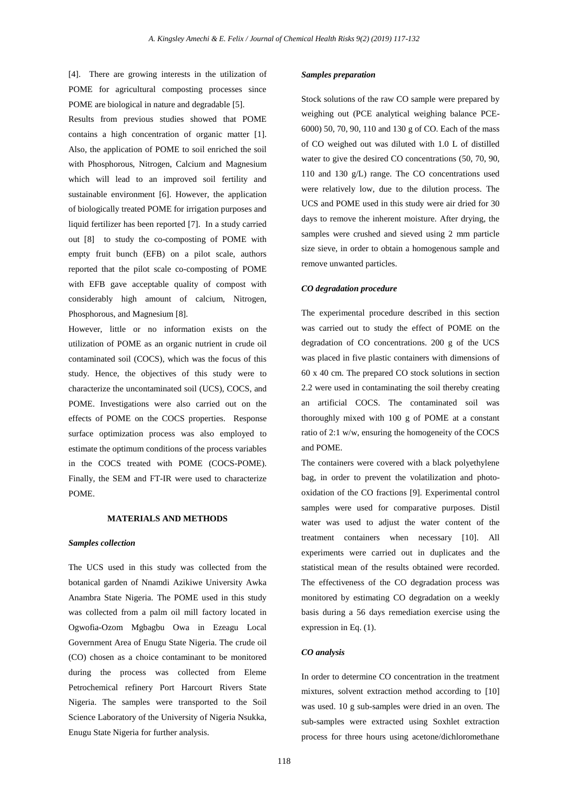[4]. There are growing interests in the utilization of POME for agricultural composting processes since POME are biological in nature and degradable [5].

Results from previous studies showed that POME contains a high concentration of organic matter [1]. Also, the application of POME to soil enriched the soil with Phosphorous, Nitrogen, Calcium and Magnesium which will lead to an improved soil fertility and sustainable environment [6]. However, the application of biologically treated POME for irrigation purposes and liquid fertilizer has been reported [7]. In a study carried out [8] to study the co-composting of POME with empty fruit bunch (EFB) on a pilot scale, authors reported that the pilot scale co-composting of POME with EFB gave acceptable quality of compost with considerably high amount of calcium, Nitrogen, Phosphorous, and Magnesium [8].

However, little or no information exists on the utilization of POME as an organic nutrient in crude oil contaminated soil (COCS), which was the focus of this study. Hence, the objectives of this study were to characterize the uncontaminated soil (UCS), COCS, and POME. Investigations were also carried out on the effects of POME on the COCS properties. Response surface optimization process was also employed to estimate the optimum conditions of the process variables in the COCS treated with POME (COCS-POME). Finally, the SEM and FT-IR were used to characterize POME.

#### **MATERIALS AND METHODS**

#### *Samples collection*

The UCS used in this study was collected from the botanical garden of Nnamdi Azikiwe University Awka Anambra State Nigeria. The POME used in this study was collected from a palm oil mill factory located in Ogwofia-Ozom Mgbagbu Owa in Ezeagu Local Government Area of Enugu State Nigeria. The crude oil (CO) chosen as a choice contaminant to be monitored during the process was collected from Eleme Petrochemical refinery Port Harcourt Rivers State Nigeria. The samples were transported to the Soil Science Laboratory of the University of Nigeria Nsukka, Enugu State Nigeria for further analysis.

#### *Samples preparation*

Stock solutions of the raw CO sample were prepared by weighing out (PCE analytical weighing balance PCE-6000) 50, 70, 90, 110 and 130 g of CO. Each of the mass of CO weighed out was diluted with 1.0 L of distilled water to give the desired CO concentrations (50, 70, 90, 110 and 130 g/L) range. The CO concentrations used were relatively low, due to the dilution process. The UCS and POME used in this study were air dried for 30 days to remove the inherent moisture. After drying, the samples were crushed and sieved using 2 mm particle size sieve, in order to obtain a homogenous sample and remove unwanted particles.

#### *CO degradation procedure*

The experimental procedure described in this section was carried out to study the effect of POME on the degradation of CO concentrations. 200 g of the UCS was placed in five plastic containers with dimensions of 60 x 40 cm. The prepared CO stock solutions in section 2.2 were used in contaminating the soil thereby creating an artificial COCS. The contaminated soil was thoroughly mixed with 100 g of POME at a constant ratio of 2:1 w/w, ensuring the homogeneity of the COCS and POME.

The containers were covered with a black polyethylene bag, in order to prevent the volatilization and photooxidation of the CO fractions [9]. Experimental control samples were used for comparative purposes. Distil water was used to adjust the water content of the treatment containers when necessary [10]. All experiments were carried out in duplicates and the statistical mean of the results obtained were recorded. The effectiveness of the CO degradation process was monitored by estimating CO degradation on a weekly basis during a 56 days remediation exercise using the expression in Eq. (1).

# *CO analysis*

In order to determine CO concentration in the treatment mixtures, solvent extraction method according to [10] was used. 10 g sub-samples were dried in an oven. The sub-samples were extracted using Soxhlet extraction process for three hours using acetone/dichloromethane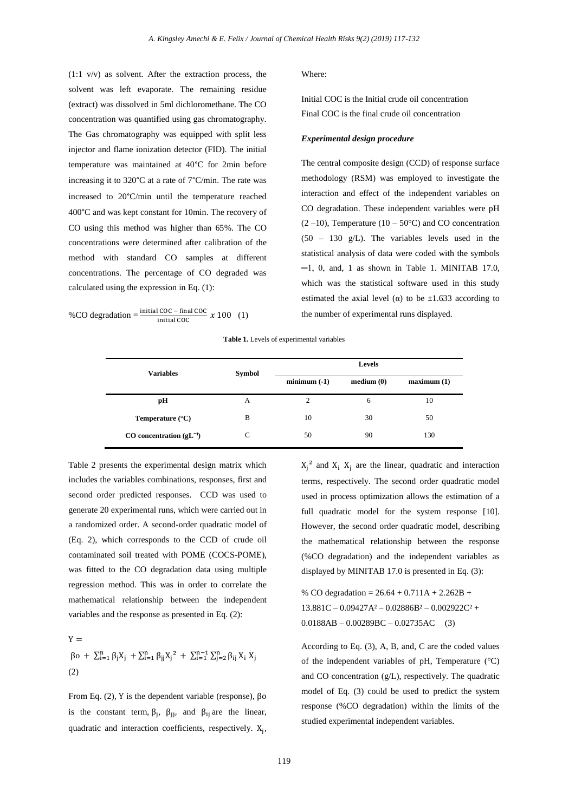(1:1 v/v) as solvent. After the extraction process, the solvent was left evaporate. The remaining residue (extract) was dissolved in 5ml dichloromethane. The CO concentration was quantified using gas chromatography. The Gas chromatography was equipped with split less injector and flame ionization detector (FID). The initial temperature was maintained at 40°C for 2min before increasing it to 320°C at a rate of 7°C/min. The rate was increased to 20°C/min until the temperature reached 400°C and was kept constant for 10min. The recovery of CO using this method was higher than 65%. The CO concentrations were determined after calibration of the method with standard CO samples at different concentrations. The percentage of CO degraded was calculated using the expression in Eq. (1):

%CO degradation = 
$$
\frac{\text{initial COC} - \text{final COC}}{\text{initial COC}} \times 100
$$
 (1)

#### Where:

Initial COC is the Initial crude oil concentration Final COC is the final crude oil concentration

#### *Experimental design procedure*

The central composite design (CCD) of response surface methodology (RSM) was employed to investigate the interaction and effect of the independent variables on CO degradation. These independent variables were pH  $(2-10)$ , Temperature  $(10-50^{\circ}C)$  and CO concentration (50 – 130 g/L). The variables levels used in the statistical analysis of data were coded with the symbols  $-1$ , 0, and, 1 as shown in Table 1. MINITAB 17.0, which was the statistical software used in this study estimated the axial level  $(\alpha)$  to be  $\pm 1.633$  according to the number of experimental runs displayed.

**Table 1.** Levels of experimental variables

| <b>Variables</b>                 | Symbol | Levels         |           |                        |  |
|----------------------------------|--------|----------------|-----------|------------------------|--|
|                                  |        | $minimum(-1)$  | median(0) | maximum <sub>(1)</sub> |  |
| pН                               | A      | $\overline{c}$ | 6         | 10                     |  |
| Temperature $(^{\circ}C)$        | B      | 10             | 30        | 50                     |  |
| $CO$ concentration ( $gL^{-1}$ ) | С      | 50             | 90        | 130                    |  |

Table 2 presents the experimental design matrix which includes the variables combinations, responses, first and second order predicted responses. CCD was used to generate 20 experimental runs, which were carried out in a randomized order. A second-order quadratic model of (Eq. 2), which corresponds to the CCD of crude oil contaminated soil treated with POME (COCS-POME), was fitted to the CO degradation data using multiple regression method. This was in order to correlate the mathematical relationship between the independent variables and the response as presented in Eq. (2):

 $V =$  $\beta$ o +  $\sum_{i=1}^{n} \beta_i X_i$  +  $\sum_{i=1}^{n} \beta_{ij} X_i^2$  +  $\sum_{i=1}^{n-1} \sum_{j=2}^{n} \beta_j$ (2)

From Eq. (2), Y is the dependent variable (response),  $\beta$ o is the constant term,  $\beta_i$ ,  $\beta_{ii}$ , and  $\beta_{ii}$  are the linear, quadratic and interaction coefficients, respectively. X<sub>i</sub>,  $X_i^2$  and  $X_i$   $X_i$  are the linear, quadratic and interaction terms, respectively. The second order quadratic model used in process optimization allows the estimation of a full quadratic model for the system response [10]. However, the second order quadratic model, describing the mathematical relationship between the response (%CO degradation) and the independent variables as displayed by MINITAB 17.0 is presented in Eq. (3):

% CO degradation =  $26.64 + 0.711A + 2.262B +$  $13.881C - 0.09427A^2 - 0.02886B^2 - 0.002922C^2 +$  $0.0188AB - 0.00289BC - 0.02735AC$  (3)

According to Eq. (3), A, B, and, C are the coded values of the independent variables of pH, Temperature (°C) and CO concentration (g/L), respectively. The quadratic model of Eq. (3) could be used to predict the system response (%CO degradation) within the limits of the studied experimental independent variables.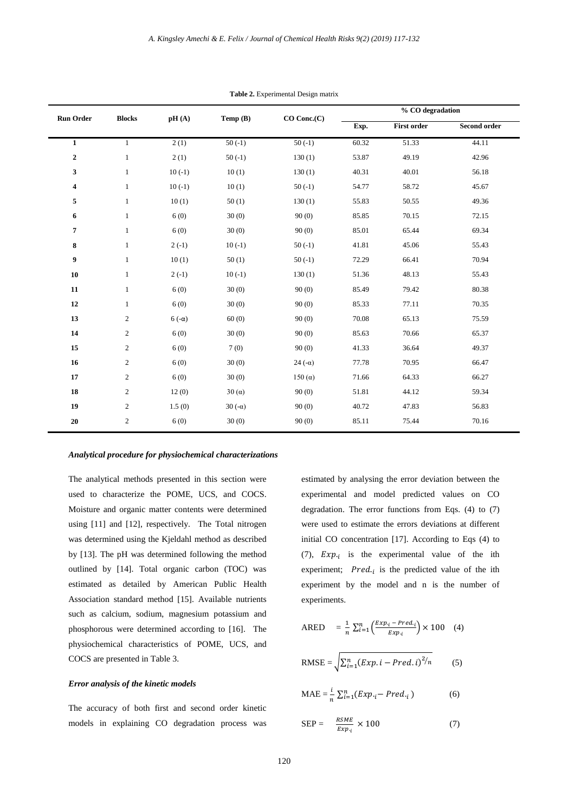| <b>Run Order</b><br><b>Blocks</b> |                |              | Temp (B)       | CO Conc.(C)   |       | % CO degradation   |              |  |
|-----------------------------------|----------------|--------------|----------------|---------------|-------|--------------------|--------------|--|
|                                   |                | pH(A)        |                |               | Exp.  | <b>First order</b> | Second order |  |
| $\mathbf{1}$                      | $\mathbf{1}$   | 2(1)         | $50(-1)$       | $50(-1)$      | 60.32 | 51.33              | 44.11        |  |
| $\boldsymbol{2}$                  | $\mathbf{1}$   | 2(1)         | $50(-1)$       | 130(1)        | 53.87 | 49.19              | 42.96        |  |
| 3                                 | $\mathbf{1}$   | $10(-1)$     | 10(1)          | 130(1)        | 40.31 | 40.01              | 56.18        |  |
| $\overline{\mathbf{4}}$           | $\mathbf{1}$   | $10(-1)$     | 10(1)          | $50(-1)$      | 54.77 | 58.72              | 45.67        |  |
| 5                                 | $\mathbf{1}$   | 10(1)        | 50(1)          | 130(1)        | 55.83 | 50.55              | 49.36        |  |
| 6                                 | $\mathbf{1}$   | 6(0)         | 30(0)          | 90(0)         | 85.85 | 70.15              | 72.15        |  |
| $\overline{7}$                    | $\mathbf{1}$   | 6(0)         | 30(0)          | 90(0)         | 85.01 | 65.44              | 69.34        |  |
| 8                                 | $\mathbf{1}$   | $2(-1)$      | $10(-1)$       | $50(-1)$      | 41.81 | 45.06              | 55.43        |  |
| 9                                 | $\mathbf{1}$   | 10(1)        | 50(1)          | $50(-1)$      | 72.29 | 66.41              | 70.94        |  |
| 10                                | $\mathbf{1}$   | $2(-1)$      | $10(-1)$       | 130(1)        | 51.36 | 48.13              | 55.43        |  |
| 11                                | $\mathbf{1}$   | 6(0)         | 30(0)          | 90(0)         | 85.49 | 79.42              | 80.38        |  |
| 12                                | $\mathbf{1}$   | 6(0)         | 30(0)          | 90(0)         | 85.33 | 77.11              | 70.35        |  |
| 13                                | $\mathbf{2}$   | $6(-\alpha)$ | 60(0)          | 90(0)         | 70.08 | 65.13              | 75.59        |  |
| 14                                | $\overline{2}$ | 6(0)         | 30(0)          | 90(0)         | 85.63 | 70.66              | 65.37        |  |
| 15                                | $\sqrt{2}$     | 6(0)         | 7(0)           | 90(0)         | 41.33 | 36.64              | 49.37        |  |
| 16                                | 2              | 6(0)         | 30(0)          | $24(-\alpha)$ | 77.78 | 70.95              | 66.47        |  |
| 17                                | $\sqrt{2}$     | 6(0)         | 30(0)          | $150(\alpha)$ | 71.66 | 64.33              | 66.27        |  |
| 18                                | $\sqrt{2}$     | 12(0)        | $30(\alpha)$   | 90(0)         | 51.81 | 44.12              | 59.34        |  |
| 19                                | 2              | 1.5(0)       | 30 $(-\alpha)$ | 90(0)         | 40.72 | 47.83              | 56.83        |  |
| 20                                | $\sqrt{2}$     | 6(0)         | 30(0)          | 90(0)         | 85.11 | 75.44              | 70.16        |  |

**Table 2.** Experimental Design matrix

#### *Analytical procedure for physiochemical characterizations*

The analytical methods presented in this section were used to characterize the POME, UCS, and COCS. Moisture and organic matter contents were determined using [11] and [12], respectively. The Total nitrogen was determined using the Kjeldahl method as described by [13]. The pH was determined following the method outlined by [14]. Total organic carbon (TOC) was estimated as detailed by American Public Health Association standard method [15]. Available nutrients such as calcium, sodium, magnesium potassium and phosphorous were determined according to [16]. The physiochemical characteristics of POME, UCS, and COCS are presented in Table 3.

# *Error analysis of the kinetic models*

The accuracy of both first and second order kinetic models in explaining CO degradation process was estimated by analysing the error deviation between the experimental and model predicted values on CO degradation. The error functions from Eqs. (4) to (7) were used to estimate the errors deviations at different initial CO concentration [17]. According to Eqs (4) to (7),  $Exp_{i}$  is the experimental value of the ith experiment;  $Pred_{i}$  is the predicted value of the ith experiment by the model and n is the number of experiments.

$$
ARED = \frac{1}{n} \sum_{i=1}^{n} \left( \frac{Exp_i - Pred_i}{Exp_i} \right) \times 100 \quad (4)
$$

$$
RMSE = \sqrt{\sum_{i=1}^{n} (Exp.i - Pred.i)^{2}/n}
$$
 (5)

$$
\text{MAE} = \frac{i}{n} \sum_{i=1}^{n} (Exp_{\cdot i} - Pred_{\cdot i}) \tag{6}
$$

$$
SEP = \frac{RSME}{Exp_i} \times 100 \tag{7}
$$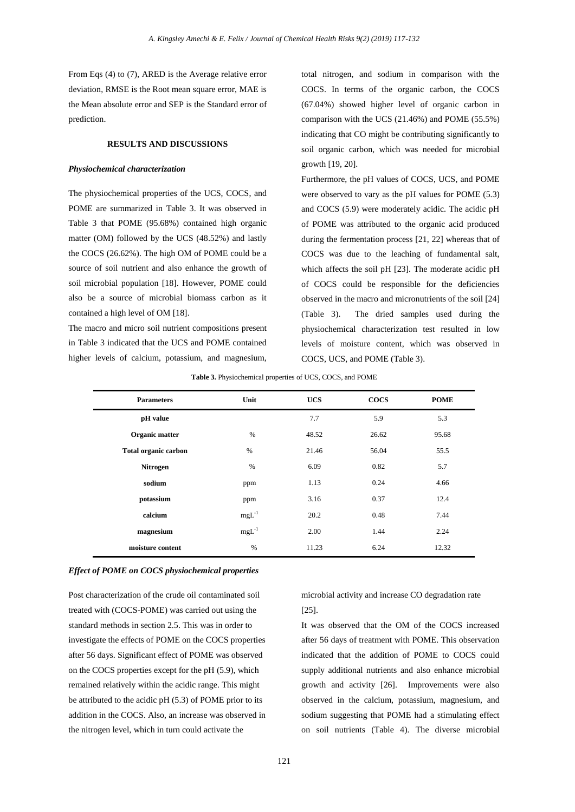From Eqs (4) to (7), ARED is the Average relative error deviation, RMSE is the Root mean square error, MAE is the Mean absolute error and SEP is the Standard error of prediction.

# **RESULTS AND DISCUSSIONS**

#### *Physiochemical characterization*

The physiochemical properties of the UCS, COCS, and POME are summarized in Table 3. It was observed in Table 3 that POME (95.68%) contained high organic matter (OM) followed by the UCS (48.52%) and lastly the COCS (26.62%). The high OM of POME could be a source of soil nutrient and also enhance the growth of soil microbial population [18]. However, POME could also be a source of microbial biomass carbon as it contained a high level of OM [18].

The macro and micro soil nutrient compositions present in Table 3 indicated that the UCS and POME contained higher levels of calcium, potassium, and magnesium, total nitrogen, and sodium in comparison with the COCS. In terms of the organic carbon, the COCS (67.04%) showed higher level of organic carbon in comparison with the UCS (21.46%) and POME (55.5%) indicating that CO might be contributing significantly to soil organic carbon, which was needed for microbial growth [19, 20].

Furthermore, the pH values of COCS, UCS, and POME were observed to vary as the pH values for POME (5.3) and COCS (5.9) were moderately acidic. The acidic pH of POME was attributed to the organic acid produced during the fermentation process [21, 22] whereas that of COCS was due to the leaching of fundamental salt, which affects the soil pH [23]. The moderate acidic pH of COCS could be responsible for the deficiencies observed in the macro and micronutrients of the soil [24] (Table 3). The dried samples used during the physiochemical characterization test resulted in low levels of moisture content, which was observed in COCS, UCS, and POME (Table 3).

# **Table 3.** Physiochemical properties of UCS, COCS, and POME

| Unit       | <b>UCS</b> | <b>COCS</b> | <b>POME</b> |
|------------|------------|-------------|-------------|
|            | 7.7        | 5.9         | 5.3         |
| $\%$       | 48.52      | 26.62       | 95.68       |
| $\%$       | 21.46      | 56.04       | 55.5        |
| $\%$       | 6.09       | 0.82        | 5.7         |
| ppm        | 1.13       | 0.24        | 4.66        |
| ppm        | 3.16       | 0.37        | 12.4        |
| $mgL^{-1}$ | 20.2       | 0.48        | 7.44        |
| $mgL^{-1}$ | 2.00       | 1.44        | 2.24        |
| $\%$       | 11.23      | 6.24        | 12.32       |
|            |            |             |             |

#### *Effect of POME on COCS physiochemical properties*

Post characterization of the crude oil contaminated soil treated with (COCS-POME) was carried out using the standard methods in section 2.5. This was in order to investigate the effects of POME on the COCS properties after 56 days. Significant effect of POME was observed on the COCS properties except for the pH (5.9), which remained relatively within the acidic range. This might be attributed to the acidic pH (5.3) of POME prior to its addition in the COCS. Also, an increase was observed in the nitrogen level, which in turn could activate the

microbial activity and increase CO degradation rate [25].

It was observed that the OM of the COCS increased after 56 days of treatment with POME. This observation indicated that the addition of POME to COCS could supply additional nutrients and also enhance microbial growth and activity [26]. Improvements were also observed in the calcium, potassium, magnesium, and sodium suggesting that POME had a stimulating effect on soil nutrients (Table 4). The diverse microbial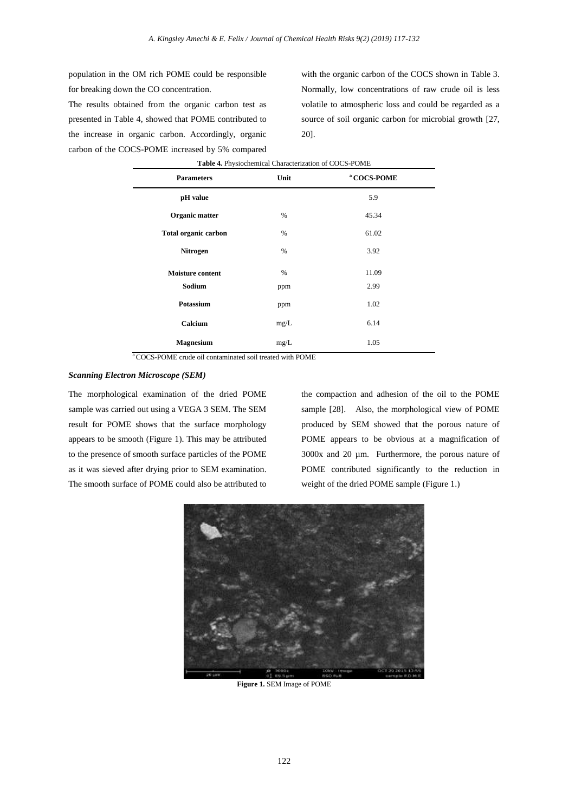population in the OM rich POME could be responsible for breaking down the CO concentration.

The results obtained from the organic carbon test as presented in Table 4, showed that POME contributed to the increase in organic carbon. Accordingly, organic carbon of the COCS-POME increased by 5% compared

with the organic carbon of the COCS shown in Table 3. Normally, low concentrations of raw crude oil is less volatile to atmospheric loss and could be regarded as a source of soil organic carbon for microbial growth [27, 20].

| Table 4. Physiochemical Characterization of COCS-POME |      |                        |  |  |  |  |  |  |
|-------------------------------------------------------|------|------------------------|--|--|--|--|--|--|
| <b>Parameters</b>                                     | Unit | <sup>a</sup> COCS-POME |  |  |  |  |  |  |
| pH value                                              |      | 5.9                    |  |  |  |  |  |  |
| Organic matter                                        | $\%$ | 45.34                  |  |  |  |  |  |  |
| <b>Total organic carbon</b>                           | %    | 61.02                  |  |  |  |  |  |  |
| Nitrogen                                              | %    | 3.92                   |  |  |  |  |  |  |
| <b>Moisture content</b>                               | $\%$ | 11.09                  |  |  |  |  |  |  |
| Sodium                                                | ppm  | 2.99                   |  |  |  |  |  |  |
| Potassium                                             | ppm  | 1.02                   |  |  |  |  |  |  |
| Calcium                                               | mg/L | 6.14                   |  |  |  |  |  |  |
| <b>Magnesium</b>                                      | mg/L | 1.05                   |  |  |  |  |  |  |

<sup>a</sup> COCS-POME crude oil contaminated soil treated with POME

# *Scanning Electron Microscope (SEM)*

The morphological examination of the dried POME sample was carried out using a VEGA 3 SEM. The SEM result for POME shows that the surface morphology appears to be smooth (Figure 1). This may be attributed to the presence of smooth surface particles of the POME as it was sieved after drying prior to SEM examination. The smooth surface of POME could also be attributed to

the compaction and adhesion of the oil to the POME sample [28]. Also, the morphological view of POME produced by SEM showed that the porous nature of POME appears to be obvious at a magnification of 3000x and 20 µm. Furthermore, the porous nature of POME contributed significantly to the reduction in weight of the dried POME sample (Figure 1.)



**Figure 1.** SEM Image of POME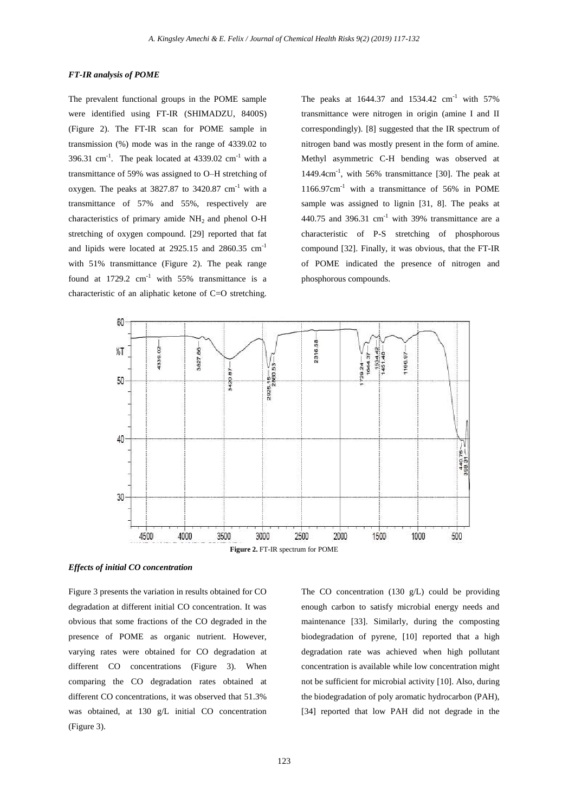#### *FT-IR analysis of POME*

The prevalent functional groups in the POME sample were identified using FT-IR (SHIMADZU, 8400S) (Figure 2). The FT-IR scan for POME sample in transmission (%) mode was in the range of 4339.02 to 396.31 cm<sup>-1</sup>. The peak located at  $4339.02$  cm<sup>-1</sup> with a transmittance of 59% was assigned to O–H stretching of oxygen. The peaks at  $3827.87$  to  $3420.87$  cm<sup>-1</sup> with a transmittance of 57% and 55%, respectively are characteristics of primary amide  $NH<sub>2</sub>$  and phenol O-H stretching of oxygen compound. [29] reported that fat and lipids were located at 2925.15 and 2860.35 cm-1 with 51% transmittance (Figure 2). The peak range found at  $1729.2$  cm<sup>-1</sup> with 55% transmittance is a characteristic of an aliphatic ketone of C=O stretching.

The peaks at  $1644.37$  and  $1534.42$  cm<sup>-1</sup> with  $57\%$ transmittance were nitrogen in origin (amine I and II correspondingly). [8] suggested that the IR spectrum of nitrogen band was mostly present in the form of amine. Methyl asymmetric C-H bending was observed at 1449.4cm-1 , with 56% transmittance [30]. The peak at  $1166.97$ cm<sup>-1</sup> with a transmittance of 56% in POME sample was assigned to lignin [31, 8]. The peaks at 440.75 and 396.31 cm<sup>-1</sup> with 39% transmittance are a characteristic of P-S stretching of phosphorous compound [32]. Finally, it was obvious, that the FT-IR of POME indicated the presence of nitrogen and phosphorous compounds.



*Effects of initial CO concentration* 

Figure 3 presents the variation in results obtained for CO degradation at different initial CO concentration. It was obvious that some fractions of the CO degraded in the presence of POME as organic nutrient. However, varying rates were obtained for CO degradation at different CO concentrations (Figure 3). When comparing the CO degradation rates obtained at different CO concentrations, it was observed that 51.3% was obtained, at 130 g/L initial CO concentration (Figure 3).

The CO concentration (130 g/L) could be providing enough carbon to satisfy microbial energy needs and maintenance [33]. Similarly, during the composting biodegradation of pyrene, [10] reported that a high degradation rate was achieved when high pollutant concentration is available while low concentration might not be sufficient for microbial activity [10]. Also, during the biodegradation of poly aromatic hydrocarbon (PAH), [34] reported that low PAH did not degrade in the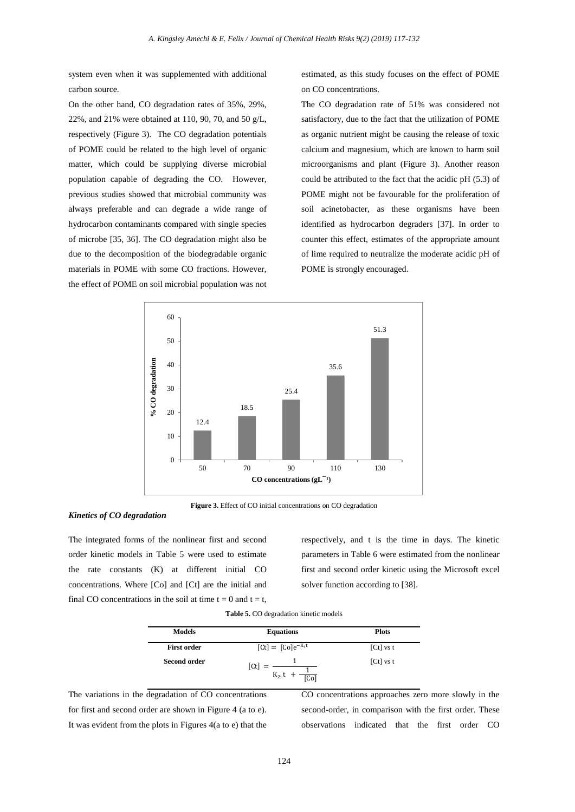system even when it was supplemented with additional carbon source.

On the other hand, CO degradation rates of 35%, 29%, 22%, and 21% were obtained at 110, 90, 70, and 50 g/L, respectively (Figure 3). The CO degradation potentials of POME could be related to the high level of organic matter, which could be supplying diverse microbial population capable of degrading the CO. However, previous studies showed that microbial community was always preferable and can degrade a wide range of hydrocarbon contaminants compared with single species of microbe [35, 36]. The CO degradation might also be due to the decomposition of the biodegradable organic materials in POME with some CO fractions. However, the effect of POME on soil microbial population was not

estimated, as this study focuses on the effect of POME on CO concentrations.

The CO degradation rate of 51% was considered not satisfactory, due to the fact that the utilization of POME as organic nutrient might be causing the release of toxic calcium and magnesium, which are known to harm soil microorganisms and plant (Figure 3). Another reason could be attributed to the fact that the acidic pH (5.3) of POME might not be favourable for the proliferation of soil acinetobacter, as these organisms have been identified as hydrocarbon degraders [37]. In order to counter this effect, estimates of the appropriate amount of lime required to neutralize the moderate acidic pH of POME is strongly encouraged.



**Figure 3.** Effect of CO initial concentrations on CO degradation

#### *Kinetics of CO degradation*

The integrated forms of the nonlinear first and second order kinetic models in Table 5 were used to estimate the rate constants (K) at different initial CO concentrations. Where [Co] and [Ct] are the initial and final CO concentrations in the soil at time  $t = 0$  and  $t = t$ , respectively, and t is the time in days. The kinetic parameters in Table 6 were estimated from the nonlinear first and second order kinetic using the Microsoft excel solver function according to [38].

**Table 5.** CO degradation kinetic models

| <b>Models</b>       | <b>Equations</b>         | <b>Plots</b> |
|---------------------|--------------------------|--------------|
| <b>First order</b>  | $[Ct] = [C0]e-K1t$       | $[Ct]$ vs t  |
| <b>Second order</b> | $[\mathsf{C}t]K_2.t[Co]$ | $[Ct]$ vs t  |

The variations in the degradation of CO concentrations for first and second order are shown in Figure 4 (a to e). It was evident from the plots in Figures 4(a to e) that the CO concentrations approaches zero more slowly in the second-order, in comparison with the first order. These observations indicated that the first order CO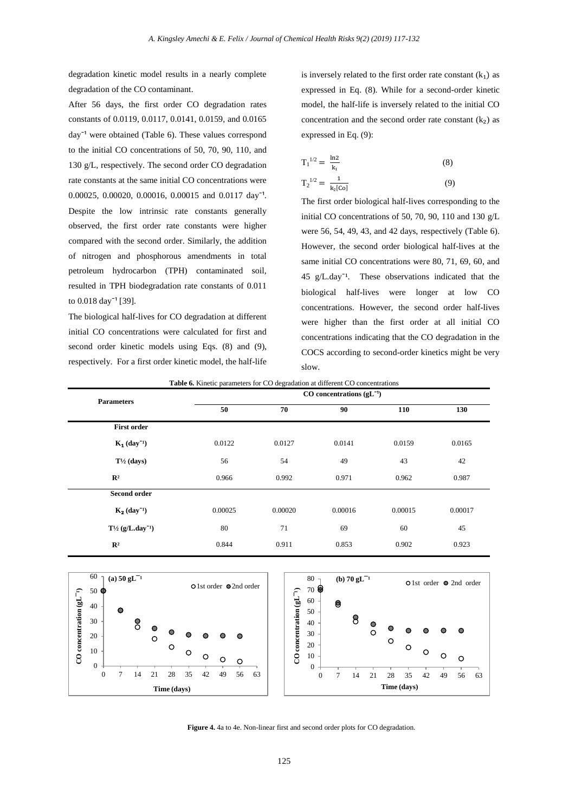degradation kinetic model results in a nearly complete degradation of the CO contaminant.

After 56 days, the first order CO degradation rates constants of 0.0119, 0.0117, 0.0141, 0.0159, and 0.0165 day<sup> $-1$ </sup> were obtained (Table 6). These values correspond to the initial CO concentrations of 50, 70, 90, 110, and 130 g/L, respectively. The second order CO degradation rate constants at the same initial CO concentrations were 0.00025, 0.00020, 0.00016, 0.00015 and 0.0117 day<sup>-1</sup>. Despite the low intrinsic rate constants generally observed, the first order rate constants were higher compared with the second order. Similarly, the addition of nitrogen and phosphorous amendments in total petroleum hydrocarbon (TPH) contaminated soil, resulted in TPH biodegradation rate constants of 0.011 to  $0.018 \text{ day}^{-1}$  [39].

The biological half-lives for CO degradation at different initial CO concentrations were calculated for first and second order kinetic models using Eqs. (8) and (9), respectively. For a first order kinetic model, the half-life is inversely related to the first order rate constant  $(k_1)$  as expressed in Eq. (8). While for a second-order kinetic model, the half-life is inversely related to the initial CO concentration and the second order rate constant  $(k_2)$  as expressed in Eq. (9):

$$
T_1^{1/2} = \frac{\ln 2}{k_1}
$$
 (8)  

$$
T_2^{1/2} = \frac{1}{k_2[CO]}
$$
 (9)

The first order biological half-lives corresponding to the initial CO concentrations of 50, 70, 90, 110 and 130 g/L were 56, 54, 49, 43, and 42 days, respectively (Table 6). However, the second order biological half-lives at the same initial CO concentrations were 80, 71, 69, 60, and 45 g/L.day<sup> $-1$ </sup>. These observations indicated that the biological half-lives were longer at low CO concentrations. However, the second order half-lives were higher than the first order at all initial CO concentrations indicating that the CO degradation in the COCS according to second-order kinetics might be very slow.

**Table 6.** Kinetic parameters for CO degradation at different CO concentrations

| <b>Parameters</b>                  | $CO$ concentrations ( $gL^{-1}$ ) |         |         |         |         |  |
|------------------------------------|-----------------------------------|---------|---------|---------|---------|--|
|                                    | 50                                | 70      | 90      | 110     | 130     |  |
| <b>First order</b>                 |                                   |         |         |         |         |  |
| $K_1$ (day <sup>-1</sup> )         | 0.0122                            | 0.0127  | 0.0141  | 0.0159  | 0.0165  |  |
| $T\frac{1}{2}$ (days)              | 56                                | 54      | 49      | 43      | 42      |  |
| $\mathbb{R}^2$                     | 0.966                             | 0.992   | 0.971   | 0.962   | 0.987   |  |
| Second order                       |                                   |         |         |         |         |  |
| $K_2$ (day <sup>-1</sup> )         | 0.00025                           | 0.00020 | 0.00016 | 0.00015 | 0.00017 |  |
| $T^{1/2}$ (g/L.day <sup>-1</sup> ) | 80                                | 71      | 69      | 60      | 45      |  |
| $\mathbb{R}^2$                     | 0.844                             | 0.911   | 0.853   | 0.902   | 0.923   |  |





**Figure 4.** 4a to 4e. Non-linear first and second order plots for CO degradation.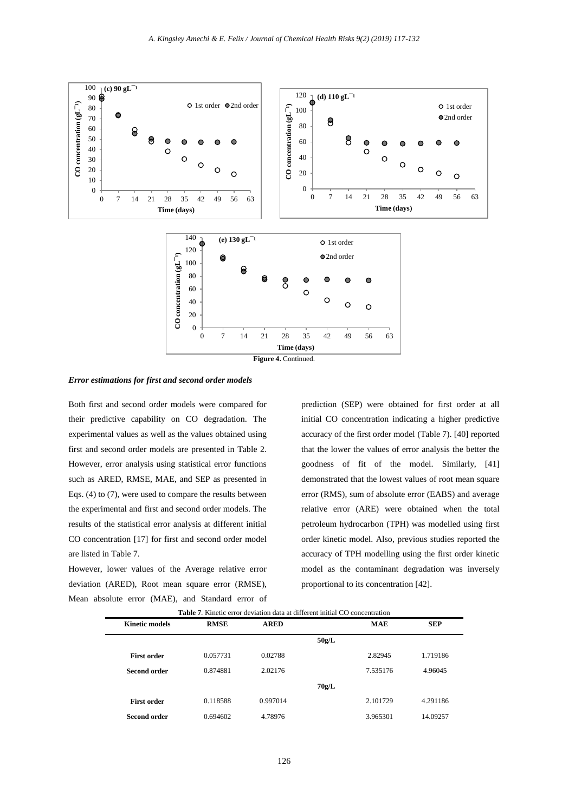

*Error estimations for first and second order models*

Both first and second order models were compared for their predictive capability on CO degradation. The experimental values as well as the values obtained using first and second order models are presented in Table 2. However, error analysis using statistical error functions such as ARED, RMSE, MAE, and SEP as presented in Eqs. (4) to (7), were used to compare the results between the experimental and first and second order models. The results of the statistical error analysis at different initial CO concentration [17] for first and second order model are listed in Table 7.

However, lower values of the Average relative error deviation (ARED), Root mean square error (RMSE), Mean absolute error (MAE), and Standard error of prediction (SEP) were obtained for first order at all initial CO concentration indicating a higher predictive accuracy of the first order model (Table 7). [40] reported that the lower the values of error analysis the better the goodness of fit of the model. Similarly, [41] demonstrated that the lowest values of root mean square error (RMS), sum of absolute error (EABS) and average relative error (ARE) were obtained when the total petroleum hydrocarbon (TPH) was modelled using first order kinetic model. Also, previous studies reported the accuracy of TPH modelling using the first order kinetic model as the contaminant degradation was inversely proportional to its concentration [42].

|                       | <b>Table 7.</b> Kinetic error deviation data at different initial CO concentration |             |       |            |            |
|-----------------------|------------------------------------------------------------------------------------|-------------|-------|------------|------------|
| <b>Kinetic models</b> | <b>RMSE</b>                                                                        | <b>ARED</b> |       | <b>MAE</b> | <b>SEP</b> |
|                       |                                                                                    |             | 50g/L |            |            |
| <b>First order</b>    | 0.057731                                                                           | 0.02788     |       | 2.82945    | 1.719186   |
| Second order          | 0.874881                                                                           | 2.02176     |       | 7.535176   | 4.96045    |
|                       |                                                                                    |             | 70g/L |            |            |
| <b>First order</b>    | 0.118588                                                                           | 0.997014    |       | 2.101729   | 4.291186   |
| <b>Second order</b>   | 0.694602                                                                           | 4.78976     |       | 3.965301   | 14.09257   |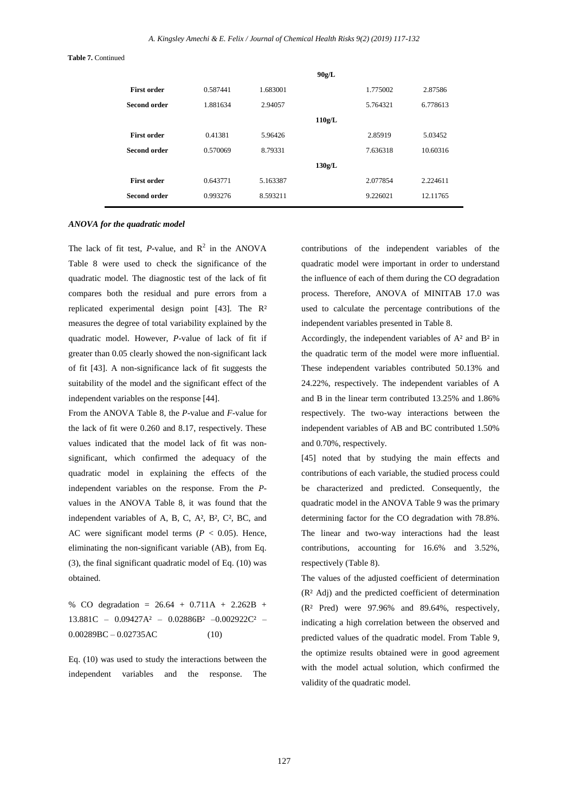**Table 7.** Continued

|                     |          |          | 90g/L  |          |          |
|---------------------|----------|----------|--------|----------|----------|
| <b>First order</b>  | 0.587441 | 1.683001 |        | 1.775002 | 2.87586  |
| Second order        | 1.881634 | 2.94057  |        | 5.764321 | 6.778613 |
|                     |          |          | 110g/L |          |          |
| <b>First order</b>  | 0.41381  | 5.96426  |        | 2.85919  | 5.03452  |
| Second order        | 0.570069 | 8.79331  |        | 7.636318 | 10.60316 |
|                     |          |          | 130g/L |          |          |
| <b>First order</b>  | 0.643771 | 5.163387 |        | 2.077854 | 2.224611 |
| <b>Second order</b> | 0.993276 | 8.593211 |        | 9.226021 | 12.11765 |
|                     |          |          |        |          |          |

#### *ANOVA for the quadratic model*

The lack of fit test,  $P$ -value, and  $R^2$  in the ANOVA Table 8 were used to check the significance of the quadratic model. The diagnostic test of the lack of fit compares both the residual and pure errors from a replicated experimental design point [43]. The R² measures the degree of total variability explained by the quadratic model. However, *P-*value of lack of fit if greater than 0.05 clearly showed the non-significant lack of fit [43]. A non-significance lack of fit suggests the suitability of the model and the significant effect of the independent variables on the response [44].

From the ANOVA Table 8, the *P*-value and *F*-value for the lack of fit were 0.260 and 8.17, respectively. These values indicated that the model lack of fit was nonsignificant, which confirmed the adequacy of the quadratic model in explaining the effects of the independent variables on the response. From the *P*values in the ANOVA Table 8, it was found that the independent variables of A, B, C, A², B², C², BC, and AC were significant model terms  $(P < 0.05)$ . Hence, eliminating the non-significant variable (AB), from Eq. (3), the final significant quadratic model of Eq. (10) was obtained.

% CO degradation = 26.64 + 0.711A + 2.262B + 13.881C – 0.09427A² – 0.02886B² –0.002922C² –  $0.00289BC - 0.02735AC$  (10)

Eq. (10) was used to study the interactions between the independent variables and the response. The

contributions of the independent variables of the quadratic model were important in order to understand the influence of each of them during the CO degradation process. Therefore, ANOVA of MINITAB 17.0 was used to calculate the percentage contributions of the independent variables presented in Table 8.

Accordingly, the independent variables of A² and B² in the quadratic term of the model were more influential. These independent variables contributed 50.13% and 24.22%, respectively. The independent variables of A and B in the linear term contributed 13.25% and 1.86% respectively. The two-way interactions between the independent variables of AB and BC contributed 1.50% and 0.70%, respectively.

[45] noted that by studying the main effects and contributions of each variable, the studied process could be characterized and predicted. Consequently, the quadratic model in the ANOVA Table 9 was the primary determining factor for the CO degradation with 78.8%. The linear and two-way interactions had the least contributions, accounting for 16.6% and 3.52%, respectively (Table 8).

The values of the adjusted coefficient of determination (R² Adj) and the predicted coefficient of determination (R² Pred) were 97.96% and 89.64%, respectively, indicating a high correlation between the observed and predicted values of the quadratic model. From Table 9, the optimize results obtained were in good agreement with the model actual solution, which confirmed the validity of the quadratic model.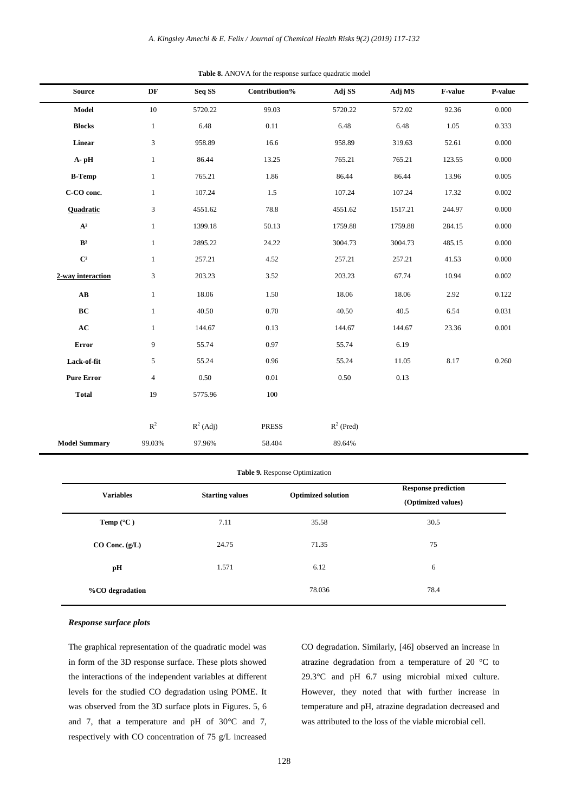| <b>Source</b>          | DF             | Seq SS      | Contribution% | Adj SS       | Adj MS  | F-value | P-value   |
|------------------------|----------------|-------------|---------------|--------------|---------|---------|-----------|
| Model                  | $10\,$         | 5720.22     | 99.03         | 5720.22      | 572.02  | 92.36   | 0.000     |
| <b>Blocks</b>          | $\mathbf{1}$   | 6.48        | 0.11          | 6.48         | 6.48    | 1.05    | 0.333     |
| Linear                 | 3              | 958.89      | 16.6          | 958.89       | 319.63  | 52.61   | 0.000     |
| A-pH                   | $\mathbf{1}$   | 86.44       | 13.25         | 765.21       | 765.21  | 123.55  | 0.000     |
| <b>B-Temp</b>          | $\mathbf{1}$   | 765.21      | 1.86          | 86.44        | 86.44   | 13.96   | 0.005     |
| C-CO conc.             | $\mathbf{1}$   | 107.24      | 1.5           | 107.24       | 107.24  | 17.32   | 0.002     |
| <b>Quadratic</b>       | 3              | 4551.62     | 78.8          | 4551.62      | 1517.21 | 244.97  | 0.000     |
| $\mathbf{A}^2$         | $\mathbf{1}$   | 1399.18     | 50.13         | 1759.88      | 1759.88 | 284.15  | 0.000     |
| B <sup>2</sup>         | $\mathbf{1}$   | 2895.22     | 24.22         | 3004.73      | 3004.73 | 485.15  | 0.000     |
| $\mathbb{C}^2$         | $\mathbf{1}$   | 257.21      | 4.52          | 257.21       | 257.21  | 41.53   | 0.000     |
| 2-way interaction      | 3              | 203.23      | 3.52          | 203.23       | 67.74   | 10.94   | 0.002     |
| $\mathbf{A}\mathbf{B}$ | $\mathbf{1}$   | 18.06       | 1.50          | 18.06        | 18.06   | 2.92    | 0.122     |
| BC                     | $\mathbf{1}$   | 40.50       | 0.70          | 40.50        | 40.5    | 6.54    | 0.031     |
| AC                     | $\mathbf{1}$   | 144.67      | 0.13          | 144.67       | 144.67  | 23.36   | $0.001\,$ |
| Error                  | 9              | 55.74       | 0.97          | 55.74        | 6.19    |         |           |
| Lack-of-fit            | 5              | 55.24       | 0.96          | 55.24        | 11.05   | 8.17    | 0.260     |
| <b>Pure Error</b>      | $\overline{4}$ | 0.50        | 0.01          | 0.50         | 0.13    |         |           |
| <b>Total</b>           | 19             | 5775.96     | $100\,$       |              |         |         |           |
|                        |                |             |               |              |         |         |           |
|                        | $\mathbb{R}^2$ | $R^2$ (Adj) | <b>PRESS</b>  | $R^2$ (Pred) |         |         |           |
| <b>Model Summary</b>   | 99.03%         | 97.96%      | 58.404        | 89.64%       |         |         |           |

**Table 8.** ANOVA for the response surface quadratic model

| Table 9. Response Optimization |                                                     |        |                                                  |  |  |  |  |
|--------------------------------|-----------------------------------------------------|--------|--------------------------------------------------|--|--|--|--|
| <b>Variables</b>               | <b>Optimized solution</b><br><b>Starting values</b> |        | <b>Response prediction</b><br>(Optimized values) |  |  |  |  |
| <b>Temp</b> $(^{\circ}C)$      | 7.11                                                | 35.58  | 30.5                                             |  |  |  |  |
| $CO$ Conc. $(g/L)$             | 24.75                                               | 71.35  | 75                                               |  |  |  |  |
| pН                             | 1.571                                               | 6.12   | 6                                                |  |  |  |  |
| %CO degradation                |                                                     | 78.036 | 78.4                                             |  |  |  |  |

#### *Response surface plots*

The graphical representation of the quadratic model was in form of the 3D response surface. These plots showed the interactions of the independent variables at different levels for the studied CO degradation using POME. It was observed from the 3D surface plots in Figures. 5, 6 and 7, that a temperature and pH of 30°C and 7, respectively with CO concentration of 75 g/L increased

CO degradation. Similarly, [46] observed an increase in atrazine degradation from a temperature of 20 °C to 29.3°C and pH 6.7 using microbial mixed culture. However, they noted that with further increase in temperature and pH, atrazine degradation decreased and was attributed to the loss of the viable microbial cell.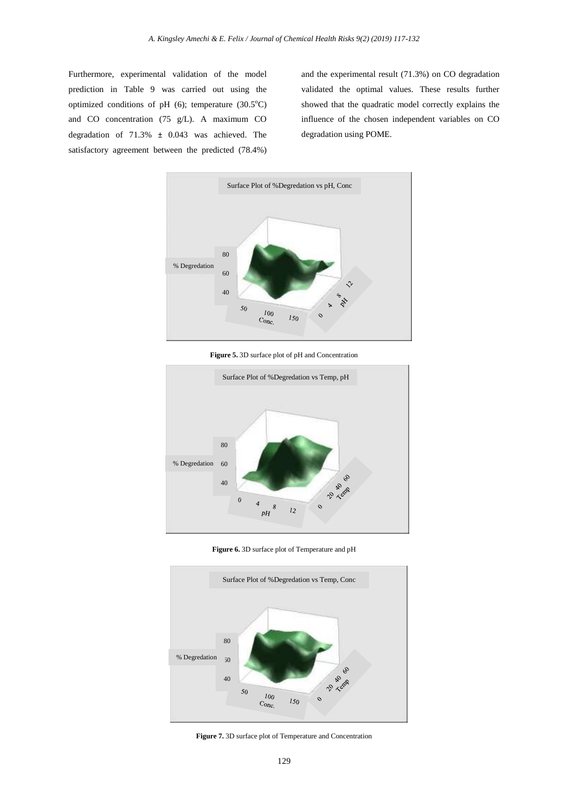Furthermore, experimental validation of the model prediction in Table 9 was carried out using the optimized conditions of pH  $(6)$ ; temperature  $(30.5^{\circ}C)$ and CO concentration (75 g/L). A maximum CO degradation of 71.3% ± 0.043 was achieved. The satisfactory agreement between the predicted (78.4%) and the experimental result (71.3%) on CO degradation validated the optimal values. These results further showed that the quadratic model correctly explains the influence of the chosen independent variables on CO degradation using POME.



**Figure 5.** 3D surface plot of pH and Concentration



**Figure 6.** 3D surface plot of Temperature and pH



**Figure 7.** 3D surface plot of Temperature and Concentration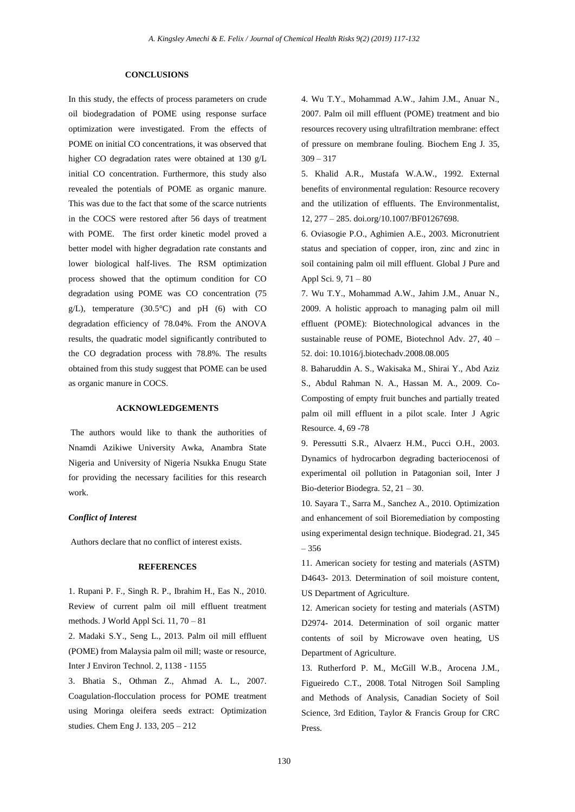#### **CONCLUSIONS**

In this study, the effects of process parameters on crude oil biodegradation of POME using response surface optimization were investigated. From the effects of POME on initial CO concentrations, it was observed that higher CO degradation rates were obtained at 130 g/L initial CO concentration. Furthermore, this study also revealed the potentials of POME as organic manure. This was due to the fact that some of the scarce nutrients in the COCS were restored after 56 days of treatment with POME. The first order kinetic model proved a better model with higher degradation rate constants and lower biological half-lives. The RSM optimization process showed that the optimum condition for CO degradation using POME was CO concentration (75  $g/L$ ), temperature (30.5°C) and pH (6) with CO degradation efficiency of 78.04%. From the ANOVA results, the quadratic model significantly contributed to the CO degradation process with 78.8%. The results obtained from this study suggest that POME can be used as organic manure in COCS.

#### **ACKNOWLEDGEMENTS**

The authors would like to thank the authorities of Nnamdi Azikiwe University Awka, Anambra State Nigeria and University of Nigeria Nsukka Enugu State for providing the necessary facilities for this research work.

# *Conflict of Interest*

Authors declare that no conflict of interest exists.

# **REFERENCES**

1. Rupani P. F., Singh R. P., Ibrahim H., Eas N., 2010. Review of current palm oil mill effluent treatment methods. J World Appl Sci. 11, 70 – 81

2. Madaki S.Y., Seng L., 2013. Palm oil mill effluent (POME) from Malaysia palm oil mill; waste or resource, Inter J Environ Technol. 2, 1138 - 1155

3. Bhatia S., Othman Z., Ahmad A. L., 2007. Coagulation-flocculation process for POME treatment using Moringa oleifera seeds extract: Optimization studies. Chem Eng J. 133, 205 – 212

4. Wu T.Y., Mohammad A.W., Jahim J.M., Anuar N., 2007. Palm oil mill effluent (POME) treatment and bio resources recovery using ultrafiltration membrane: effect of pressure on membrane fouling. Biochem Eng J*.* 35,  $309 - 317$ 

5. Khalid A.R., Mustafa W.A.W., 1992. External benefits of environmental regulation: Resource recovery and the utilization of effluents. The Environmentalist, 12, 277 – 285. [doi.org/10.1007/BF01267698.](https://doi.org/10.1007/BF01267698)

6. Oviasogie P.O., Aghimien A.E., 2003. Micronutrient status and speciation of copper, iron, zinc and zinc in soil containing palm oil mill effluent. Global J Pure and Appl Sci*.* 9, 71 – 80

7. Wu T.Y., Mohammad A.W., Jahim J.M., Anuar N., 2009. A holistic approach to managing palm oil mill effluent (POME): Biotechnological advances in the sustainable reuse of POME, Biotechnol Adv. 27, 40 – 52. doi: 10.1016/j.biotechadv.2008.08.005

8. Baharuddin A. S., Wakisaka M., Shirai Y., Abd Aziz S., Abdul Rahman N. A., Hassan M. A., 2009. Co-Composting of empty fruit bunches and partially treated palm oil mill effluent in a pilot scale. Inter J Agric Resource. 4, 69 -78

9. Peressutti S.R., Alvaerz H.M., Pucci O.H., 2003. Dynamics of hydrocarbon degrading bacteriocenosi of experimental oil pollution in Patagonian soil, Inter J Bio-deterior Biodegra. 52, 21 – 30.

10. Sayara T., Sarra M., Sanchez A., 2010. Optimization and enhancement of soil Bioremediation by composting using experimental design technique. Biodegrad. 21, 345 – 356

11. American society for testing and materials (ASTM) D4643- 2013. Determination of soil moisture content, US Department of Agriculture.

12. American society for testing and materials (ASTM) D2974- 2014. Determination of soil organic matter contents of soil by Microwave oven heating, US Department of Agriculture.

13. Rutherford P. M., McGill W.B., Arocena J.M., Figueiredo C.T., 2008. Total Nitrogen Soil Sampling and Methods of Analysis, Canadian Society of Soil Science, 3rd Edition, Taylor & Francis Group for CRC Press.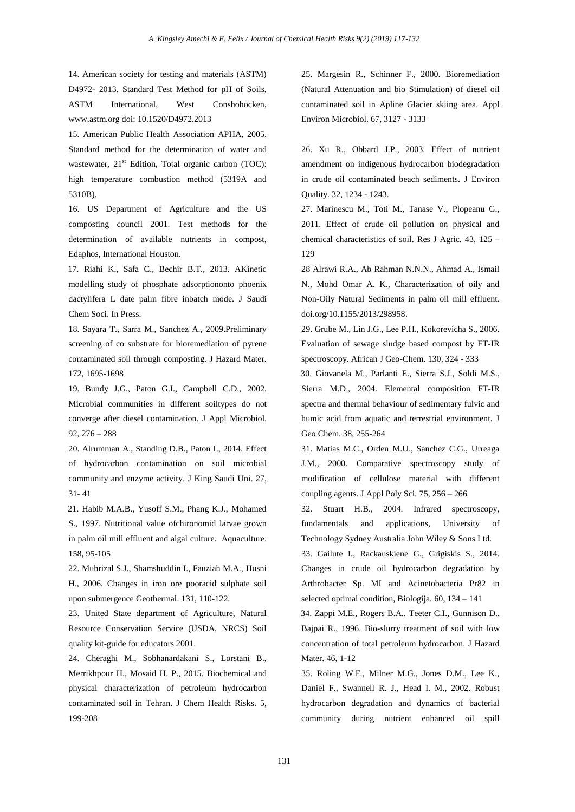14. American society for testing and materials (ASTM) D4972- 2013. Standard Test Method for pH of Soils, ASTM International, West Conshohocken, [www.astm.org](http://www.astm.org/) doi: 10.1520/D4972.2013

15. American Public Health Association APHA, 2005. Standard method for the determination of water and wastewater, 21<sup>st</sup> Edition, Total organic carbon (TOC): high temperature combustion method (5319A and 5310B).

16. US Department of Agriculture and the US composting council 2001. Test methods for the determination of available nutrients in compost, Edaphos, International Houston.

17. Riahi K., Safa C., Bechir B.T., 2013. AKinetic modelling study of phosphate adsorptiononto phoenix dactylifera L date palm fibre inbatch mode. J Saudi Chem Soci. In Press.

18. Sayara T., Sarra M., Sanchez A., 2009.Preliminary screening of co substrate for bioremediation of pyrene contaminated soil through composting. J Hazard Mater. 172, 1695-1698

19. Bundy J.G., Paton G.I., Campbell C.D., 2002. Microbial communities in different soiltypes do not converge after diesel contamination. J Appl Microbiol. 92, 276 – 288

20. Alrumman A., Standing D.B., Paton I., 2014. Effect of hydrocarbon contamination on soil microbial community and enzyme activity. J King Saudi Uni. 27, 31- 41

21. Habib M.A.B., Yusoff S.M., Phang K.J., Mohamed S., 1997. Nutritional value ofchironomid larvae grown in palm oil mill effluent and algal culture. Aquaculture. 158, 95-105

22. Muhrizal S.J., Shamshuddin I., Fauziah M.A., Husni H., 2006. Changes in iron ore pooracid sulphate soil upon submergence Geothermal. 131, 110-122.

23. United State department of Agriculture, Natural Resource Conservation Service (USDA, NRCS) Soil quality kit-guide for educators 2001.

24. Cheraghi M., Sobhanardakani S., Lorstani B., Merrikhpour H., Mosaid H. P., 2015. Biochemical and physical characterization of petroleum hydrocarbon contaminated soil in Tehran. J Chem Health Risks. 5, 199-208

25. Margesin R., Schinner F., 2000. Bioremediation (Natural Attenuation and bio Stimulation) of diesel oil contaminated soil in Apline Glacier skiing area. Appl Environ Microbiol. 67, 3127 - 3133

26. Xu R., Obbard J.P., 2003. Effect of nutrient amendment on indigenous hydrocarbon biodegradation in crude oil contaminated beach sediments. J Environ Quality. 32, 1234 - 1243.

27. Marinescu M., Toti M., Tanase V., Plopeanu G., 2011. Effect of crude oil pollution on physical and chemical characteristics of soil. Res J Agric*.* 43, 125 – 129

28 Alrawi R.A., Ab Rahman N.N.N., Ahmad A., Ismail N., Mohd Omar A. K., Characterization of oily and Non-Oily Natural Sediments in palm oil mill effluent. [doi.org/10.1155/2013/298958.](http://dx.doi.org/10.1155/2013/298958)

29. Grube M., Lin J.G., Lee P.H., Kokorevicha S., 2006. Evaluation of sewage sludge based compost by FT-IR spectroscopy. African J Geo-Chem. 130, 324 - 333

30. Giovanela M., Parlanti E., Sierra S.J., Soldi M.S., Sierra M.D., 2004. Elemental composition FT-IR spectra and thermal behaviour of sedimentary fulvic and humic acid from aquatic and terrestrial environment. J Geo Chem. 38, 255-264

31. Matias M.C., Orden M.U., Sanchez C.G., Urreaga J.M., 2000. Comparative spectroscopy study of modification of cellulose material with different coupling agents. J Appl Poly Sci*.* 75, 256 – 266

32. Stuart H.B., 2004. Infrared spectroscopy, fundamentals and applications, University of Technology Sydney Australia John Wiley & Sons Ltd.

33. Gailute I., Rackauskiene G., Grigiskis S., 2014. Changes in crude oil hydrocarbon degradation by Arthrobacter Sp. MI and Acinetobacteria Pr82 in selected optimal condition, Biologija. 60, 134 – 141

34. Zappi M.E., Rogers B.A., Teeter C.I., Gunnison D., Bajpai R., 1996. Bio-slurry treatment of soil with low concentration of total petroleum hydrocarbon. J Hazard Mater. 46, 1-12

35. Roling W.F., Milner M.G., Jones D.M., Lee K., Daniel F., Swannell R. J., Head I. M., 2002. Robust hydrocarbon degradation and dynamics of bacterial community during nutrient enhanced oil spill